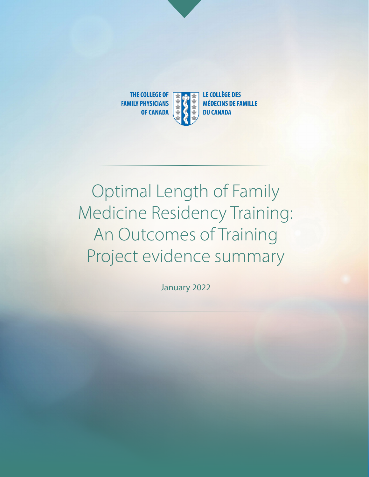

# Optimal Length of Family Medicine Residency Training: An Outcomes of Training Project evidence summary

January 2022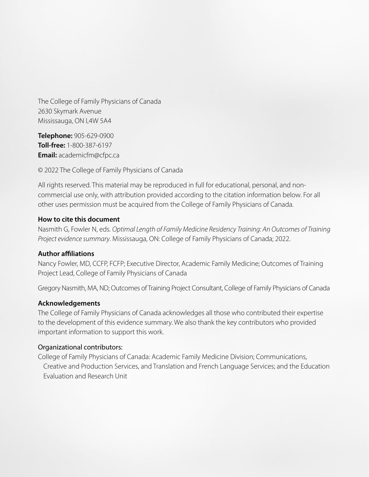The College of Family Physicians of Canada 2630 Skymark Avenue Mississauga, ON L4W 5A4

**Telephone:** 905-629-0900 **Toll-free:** 1-800-387-6197 **Email:** academicfm@cfpc.ca

© 2022 The College of Family Physicians of Canada

All rights reserved. This material may be reproduced in full for educational, personal, and noncommercial use only, with attribution provided according to the citation information below. For all other uses permission must be acquired from the College of Family Physicians of Canada.

### **How to cite this document**

Nasmith G, Fowler N, eds. *Optimal Length of Family Medicine Residency Training: An Outcomes of Training Project evidence summary*. Mississauga, ON: College of Family Physicians of Canada; 2022.

### **Author affiliations**

Nancy Fowler, MD, CCFP, FCFP; Executive Director, Academic Family Medicine; Outcomes of Training Project Lead, College of Family Physicians of Canada

Gregory Nasmith, MA, ND; Outcomes of Training Project Consultant, College of Family Physicians of Canada

### **Acknowledgements**

The College of Family Physicians of Canada acknowledges all those who contributed their expertise to the development of this evidence summary. We also thank the key contributors who provided important information to support this work.

#### Organizational contributors:

College of Family Physicians of Canada: Academic Family Medicine Division; Communications, Creative and Production Services, and Translation and French Language Services; and the Education Evaluation and Research Unit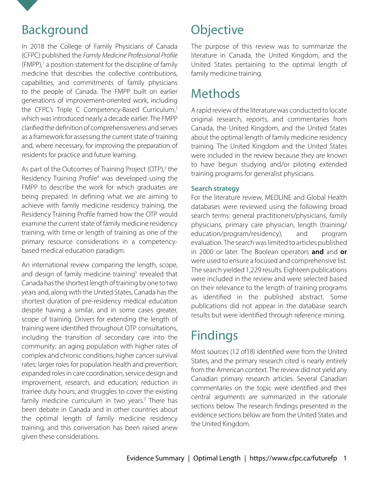<span id="page-2-0"></span>

### Background

In 2018 the College of Family Physicians of Canada (CFPC) published the *[Family Medicine Professional Profile](https://www.cfpc.ca/CFPC/media/Resources/Education/FM-Professional-Profile.pdf)*  $(FMPP)$ ,<sup>1</sup> a position statement for the discipline of family medicine that describes the collective contributions, capabilities, and commitments of family physicians to the people of Canada. The FMPP built on earlier generations of improvement-oriented work, including the CFPC's [Triple C Competency-Based Curriculum,](https://www.cfpc.ca/en/education-professional-development/educational-frameworks-and-reference-guides/triple-c-competency-based-curriculum)<sup>[2](#page-5-0)</sup> which was introduced nearly a decade earlier. The FMPP clarified the definition of comprehensiveness and serves as a framework for assessing the current state of training and, where necessary, for improving the preparation of residents for practice and future learning.

As part of the Outcomes of Training Project (OTP),<sup>[3](#page-5-0)</sup> the [Residency Training Profile](https://www.cfpc.ca/CFPC/media/Resources/Education/Residency-Training-Profile-ENG.pdf)<sup>[4](#page-5-0)</sup> was developed using the FMPP to describe the work for which graduates are being prepared. In defining what we are aiming to achieve with family medicine residency training, the Residency Training Profile framed how the OTP would examine the current state of family medicine residency training, with time or length of training as one of the primary resource considerations in a competencybased medical education paradigm.

An international review comparing the length, scope, and design of family medicine training<sup>5</sup> revealed that Canada has the shortest length of training by one to two years and, along with the United States, Canada has the shortest duration of pre-residency medical education despite having a similar, and in some cases greater, scope of training. Drivers for extending the length of training were identified throughout OTP consultations, including the transition of secondary care into the community; an aging population with higher rates of complex and chronic conditions; higher cancer survival rates; larger roles for population health and prevention; expanded roles in care coordination, service design and improvement, research, and education; reduction in trainee duty hours; and struggles to cover the existing family medicine curriculum in two years.<sup>3</sup> There has been debate in Canada and in other countries about the optimal length of family medicine residency training, and this conversation has been raised anew given these considerations.

## **Objective**

The purpose of this review was to summarize the literature in Canada, the United Kingdom, and the United States pertaining to the optimal length of family medicine training.

# **Methods**

A rapid review of the literature was conducted to locate original research, reports, and commentaries from Canada, the United Kingdom, and the United States about the optimal length of family medicine residency training. The United Kingdom and the United States were included in the review because they are known to have begun studying and/or piloting extended training programs for generalist physicians.

### **Search strategy**

For the literature review, MEDLINE and Global Health databases were reviewed using the following broad search terms: general practitioners/physicians, family physicians, primary care physician, length (training/ education/program/residency), and program evaluation. The search was limited to articles published in 2000 or later. The Boolean operators **and** and **or**  were used to ensure a focused and comprehensive list. The search yielded 1,229 results. Eighteen publications were included in the review and were selected based on their relevance to the length of training programs as identified in the published abstract. Some publications did not appear in the database search results but were identified through reference mining.

# Findings

Most sources (12 of18) identified were from the United States, and the primary research cited is nearly entirely from the American context. The review did not yield any Canadian primary research articles. Several Canadian commentaries on the topic were identified and their central arguments are summarized in the rationale sections below. The research findings presented in the evidence sections below are from the United States and the United Kingdom.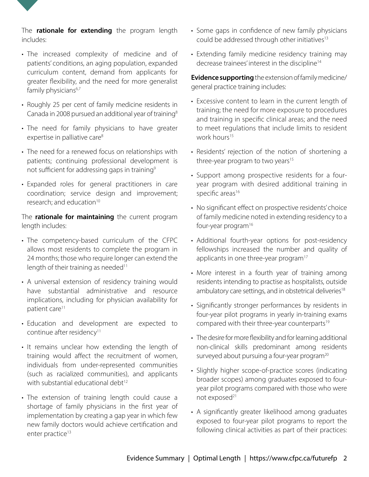<span id="page-3-0"></span>

- The increased complexity of medicine and of patients' conditions, an aging population, expanded curriculum content, demand from applicants for greater flexibility, and the need for more generalist family physicians<sup>[6,7](#page-5-0)</sup>
- Roughly 25 per cent of family medicine residents in Canada in 2008 pursued an additional year of training<sup>8</sup>
- The need for family physicians to have greater expertise in palliative care<sup>8</sup>
- The need for a renewed focus on relationships with patients; continuing professional development is not sufficient for addressing gaps in training<sup>9</sup>
- Expanded roles for general practitioners in care coordination; service design and improvement; research; and education<sup>10</sup>

The **rationale for maintaining** the current program length includes:

- The competency-based curriculum of the CFPC allows most residents to complete the program in 24 months; those who require longer can extend the length of their training as needed<sup>11</sup>
- A universal extension of residency training would have substantial administrative and resource implications, including for physician availability for patient care<sup>11</sup>
- Education and development are expected to continue after residency<sup>11</sup>
- It remains unclear how extending the length of training would affect the recruitment of women, individuals from under-represented communities (such as racialized communities), and applicants with substantial educational debt<sup>12</sup>
- The extension of training length could cause a shortage of family physicians in the first year of implementation by creating a gap year in which few new family doctors would achieve certification and enter practice<sup>13</sup>
- Some gaps in confidence of new family physicians could be addressed through other initiatives<sup>13</sup>
- Extending family medicine residency training may decrease trainees' interest in the discipline<sup>14</sup>

**Evidence supporting** the extension of family medicine/ general practice training includes:

- Excessive content to learn in the current length of training; the need for more exposure to procedures and training in specific clinical areas; and the need to meet regulations that include limits to resident work hours<sup>[15](#page-5-0)</sup>
- Residents' rejection of the notion of shortening a three-year program to two years<sup>15</sup>
- Support among prospective residents for a fouryear program with desired additional training in specific areas<sup>[16](#page-6-0)</sup>
- No significant effect on prospective residents' choice of family medicine noted in extending residency to a four-year program<sup>16</sup>
- Additional fourth-year options for post-residency fellowships increased the number and quality of applicants in one three-year program<sup>17</sup>
- More interest in a fourth year of training among residents intending to practise as hospitalists, outside ambulatory care settings, and in obstetrical deliveries<sup>18</sup>
- Significantly stronger performances by residents in four-year pilot programs in yearly in-training exams compared with their three-year counterparts<sup>19</sup>
- The desire for more flexibility and for learning additional non-clinical skills predominant among residents surveyed about pursuing a four-year program<sup>[20](#page-6-0)</sup>
- Slightly higher scope-of-practice scores (indicating broader scopes) among graduates exposed to fouryear pilot programs compared with those who were not exposed<sup>21</sup>
- A significantly greater likelihood among graduates exposed to four-year pilot programs to report the following clinical activities as part of their practices: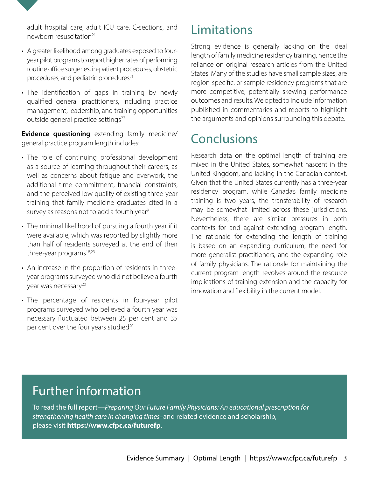<span id="page-4-0"></span>adult hospital care, adult ICU care, C-sections, and newborn resuscitation<sup>21</sup>

- A greater likelihood among graduates exposed to fouryear pilot programs to report higher rates of performing routine office surgeries, in-patient procedures, obstetric procedures, and pediatric procedures $21$
- The identification of gaps in training by newly qualified general practitioners, including practice management, leadership, and training opportunities outside general practice settings<sup>[22](#page-6-0)</sup>

**Evidence questioning** extending family medicine/ general practice program length includes:

- The role of continuing professional development as a source of learning throughout their careers, as well as concerns about fatigue and overwork, the additional time commitment, financial constraints, and the perceived low quality of existing three-year training that family medicine graduates cited in a survey as reasons not to add a fourth year<sup>9</sup>
- The minimal likelihood of pursuing a fourth year if it were available, which was reported by slightly more than half of residents surveyed at the end of their three-year programs<sup>[18,23](#page-6-0)</sup>
- An increase in the proportion of residents in threeyear programs surveyed who did not believe a fourth year was necessary<sup>20</sup>
- The percentage of residents in four-year pilot programs surveyed who believed a fourth year was necessary fluctuated between 25 per cent and 35 per cent over the four years studied<sup>20</sup>

### Limitations

Strong evidence is generally lacking on the ideal length of family medicine residency training, hence the reliance on original research articles from the United States. Many of the studies have small sample sizes, are region-specific, or sample residency programs that are more competitive, potentially skewing performance outcomes and results. We opted to include information published in commentaries and reports to highlight the arguments and opinions surrounding this debate.

## Conclusions

Research data on the optimal length of training are mixed in the United States, somewhat nascent in the United Kingdom, and lacking in the Canadian context. Given that the United States currently has a three-year residency program, while Canada's family medicine training is two years, the transferability of research may be somewhat limited across these jurisdictions. Nevertheless, there are similar pressures in both contexts for and against extending program length. The rationale for extending the length of training is based on an expanding curriculum, the need for more generalist practitioners, and the expanding role of family physicians. The rationale for maintaining the current program length revolves around the resource implications of training extension and the capacity for innovation and flexibility in the current model.

## Further information

To read the full report—*Preparing Our Future Family Physicians: An educational prescription for strengthening health care in changing times*–and related evidence and scholarship, please visit **https://www.cfpc.ca/futurefp**.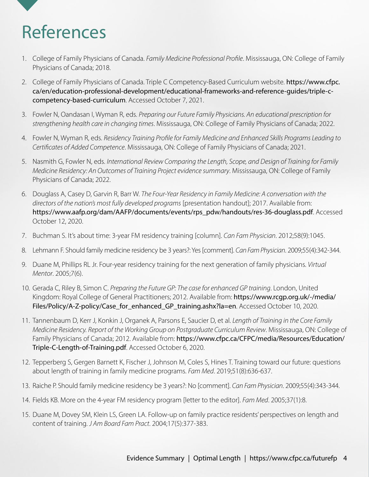# <span id="page-5-0"></span>References

- 1. [Co](#page-2-0)llege of Family Physicians of Canada. *Family Medicine Professional Profile*. Mississauga, ON: College of Family Physicians of Canada; 2018.
- 2. [Co](#page-2-0)llege of Family Physicians of Canada. Triple C Competency-Based Curriculum website. [https://www.cfpc.](https://www.cfpc.ca/en/education-professional-development/educational-frameworks-and-reference-guides/triple-c-competency-based-curriculum) [ca/en/education-professional-development/educational-frameworks-and-reference-guides/triple-c](https://www.cfpc.ca/en/education-professional-development/educational-frameworks-and-reference-guides/triple-c-competency-based-curriculum)[competency-based-curriculum](https://www.cfpc.ca/en/education-professional-development/educational-frameworks-and-reference-guides/triple-c-competency-based-curriculum). Accessed October 7, 2021.
- 3. [F](#page-2-0)owler N, Oandasan I, Wyman R, eds. *Preparing our Future Family Physicians. An educational prescription for strengthening health care in changing times*. Mississauga, ON: College of Family Physicians of Canada; 2022.
- 4. [F](#page-2-0)owler N, Wyman R, eds. *Residency Training Profile for Family Medicine and Enhanced Skills Programs Leading to Certificates of Added Competence*. Mississauga, ON: College of Family Physicians of Canada; 2021.
- 5. [Na](#page-2-0)smith G, Fowler N, eds. *International Review Comparing the Length, Scope, and Design of Training for Family Medicine Residency: An Outcomes of Training Project evidence summary*. Mississauga, ON: College of Family Physicians of Canada; 2022.
- 6. [Do](#page-3-0)uglass A, Casey D, Garvin R, Barr W. *The Four-Year Residency in Family Medicine: A conversation with the directors of the nation's most fully developed programs* [presentation handout]; 2017. Available from: [https://www.aafp.org/dam/AAFP/documents/events/rps\\_pdw/handouts/res-36-douglass.pdf](https://www.aafp.org/dam/AAFP/documents/events/rps_pdw/handouts/res-36-douglass.pdf). Accessed October 12, 2020.
- 7. [B](#page-3-0)uchman S. It's about time: 3-year FM residency training [column]. *Can Fam Physician*. 2012;58(9):1045.
- 8. [Le](#page-3-0)hmann F. Should family medicine residency be 3 years?: Yes [comment]. *Can Fam Physician*. 2009;55(4):342-344.
- 9. [Du](#page-3-0)ane M, Phillips RL Jr. Four-year residency training for the next generation of family physicians. *Virtual Mentor*. 2005;7(6).
- 10. [Ge](#page-3-0)rada C, Riley B, Simon C. *Preparing the Future GP: The case for enhanced GP training*. London, United Kingdom: Royal College of General Practitioners; 2012. Available from: [https://www.rcgp.org.uk/-/media/](https://www.rcgp.org.uk/-/media/Files/Policy/A-Z-policy/Case_for_enhanced_GP_training.ashx?la=en) [Files/Policy/A-Z-policy/Case\\_for\\_enhanced\\_GP\\_training.ashx?la=en](https://www.rcgp.org.uk/-/media/Files/Policy/A-Z-policy/Case_for_enhanced_GP_training.ashx?la=en). Accessed October 10, 2020.
- 11. [Ta](#page-3-0)nnenbaum D, Kerr J, Konkin J, Organek A, Parsons E, Saucier D, et al. *Length of Training in the Core Family Medicine Residency. Report of the Working Group on Postgraduate Curriculum Review*. Mississauga, ON: College of Family Physicians of Canada; 2012. Available from: [https://www.cfpc.ca/CFPC/media/Resources/Education/](https://www.cfpc.ca/CFPC/media/Resources/Education/Triple-C-Length-of-Training.pdf) [Triple-C-Length-of-Training.pdf](https://www.cfpc.ca/CFPC/media/Resources/Education/Triple-C-Length-of-Training.pdf). Accessed October 6, 2020.
- 12. [Te](#page-3-0)pperberg S, Gergen Barnett K, Fischer J, Johnson M, Coles S, Hines T. Training toward our future: questions about length of training in family medicine programs. *Fam Med*. 2019;51(8):636-637.
- 13. [R](#page-3-0)aiche P. Should family medicine residency be 3 years?: No [comment]. *Can Fam Physician*. 2009;55(4):343-344.
- 14. [F](#page-3-0)ields KB. More on the 4-year FM residency program [letter to the editor]. *Fam Med*. 2005;37(1):8.
- 15. [Du](#page-3-0)ane M, Dovey SM, Klein LS, Green LA. Follow-up on family practice residents' perspectives on length and content of training. *J Am Board Fam Pract*. 2004;17(5):377-383.